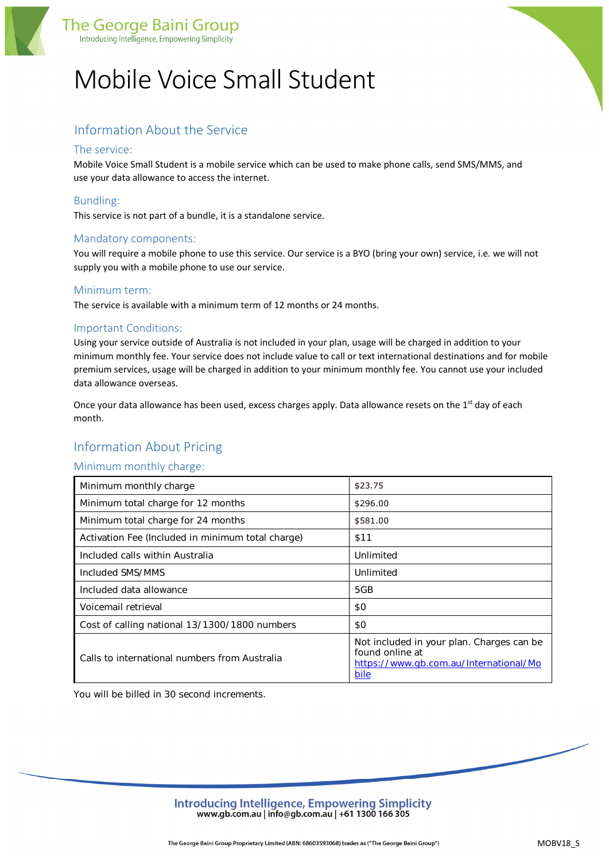

# Mobile Voice Small Student

# Information About the Service

# The service:

Mobile Voice Small Student is a mobile service which can be used to make phone calls, send SMS/MMS, and use your data allowance to access the internet.

# Bundling:

This service is not part of a bundle, it is a standalone service.

# Mandatory components:

You will require a mobile phone to use this service. Our service is a BYO (bring your own) service, i.e. we will not supply you with a mobile phone to use our service.

#### Minimum term:

The service is available with a minimum term of 12 months or 24 months.

#### Important Conditions:

Using your service outside of Australia is not included in your plan, usage will be charged in addition to your minimum monthly fee. Your service does not include value to call or text international destinations and for mobile premium services, usage will be charged in addition to your minimum monthly fee. You cannot use your included data allowance overseas.

Once your data allowance has been used, excess charges apply. Data allowance resets on the 1<sup>st</sup> day of each month.

# Information About Pricing

#### Minimum monthly charge:

| Minimum monthly charge                            | \$23.75                                                                                                        |
|---------------------------------------------------|----------------------------------------------------------------------------------------------------------------|
| Minimum total charge for 12 months                | \$296.00                                                                                                       |
| Minimum total charge for 24 months                | \$581.00                                                                                                       |
| Activation Fee (Included in minimum total charge) | \$11                                                                                                           |
| Included calls within Australia                   | Unlimited                                                                                                      |
| Included SMS/MMS                                  | Unlimited                                                                                                      |
| Included data allowance                           | 5GB                                                                                                            |
| Voicemail retrieval                               | \$0                                                                                                            |
| Cost of calling national 13/1300/1800 numbers     | \$0                                                                                                            |
| Calls to international numbers from Australia     | Not included in your plan. Charges can be<br>found online at<br>https://www.qb.com.au/International/Mo<br>bile |

You will be billed in 30 second increments.

Introducing Intelligence, Empowering Simplicity www.gb.com.au | info@gb.com.au | +61 1300 166 305